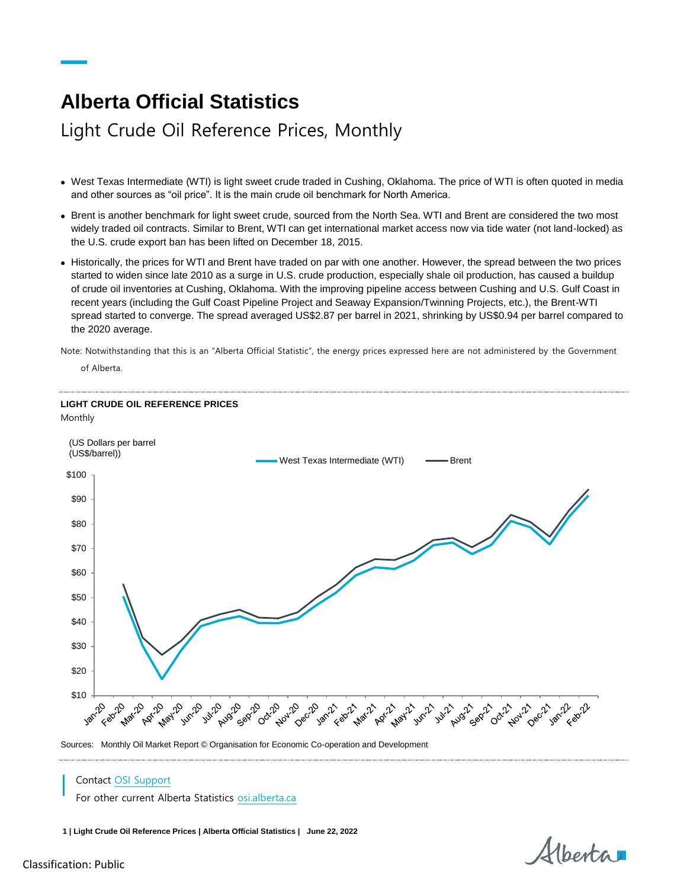## **Alberta Official Statistics**

## Light Crude Oil Reference Prices, Monthly

- West Texas Intermediate (WTI) is light sweet crude traded in Cushing, Oklahoma. The price of WTI is often quoted in media and other sources as "oil price". It is the main crude oil benchmark for North America.
- Brent is another benchmark for light sweet crude, sourced from the North Sea. WTI and Brent are considered the two most widely traded oil contracts. Similar to Brent, WTI can get international market access now via tide water (not land-locked) as the U.S. crude export ban has been lifted on December 18, 2015.
- Historically, the prices for WTI and Brent have traded on par with one another. However, the spread between the two prices started to widen since late 2010 as a surge in U.S. crude production, especially shale oil production, has caused a buildup of crude oil inventories at Cushing, Oklahoma. With the improving pipeline access between Cushing and U.S. Gulf Coast in recent years (including the Gulf Coast Pipeline Project and Seaway Expansion/Twinning Projects, etc.), the Brent-WTI spread started to converge. The spread averaged US\$2.87 per barrel in 2021, shrinking by US\$0.94 per barrel compared to the 2020 average.

Note: Notwithstanding that this is an "Alberta Official Statistic", the energy prices expressed here are not administered by the Government

of Alberta.



Sources: Monthly Oil Market Report © Organisation for Economic Co-operation and Development

## Contact [OSI Support](mailto:osi.support%40gov.ab.ca?subject=Alberta%20Official%20Statistics%3A%20Consumer%20Price%20Index)

For other current Alberta Statistics [osi.alberta.ca](file://///GOA.ds.gov.ab.ca/APPS/InDesign/_OSI_Publications/Statistical-Services-Jacques/AOS%20Fact%20Sheets/25_ConsumerPriceIndex/osi.alberta.ca)

**1 | Light Crude Oil Reference Prices | Alberta Official Statistics | June 22, 2022**

Alberta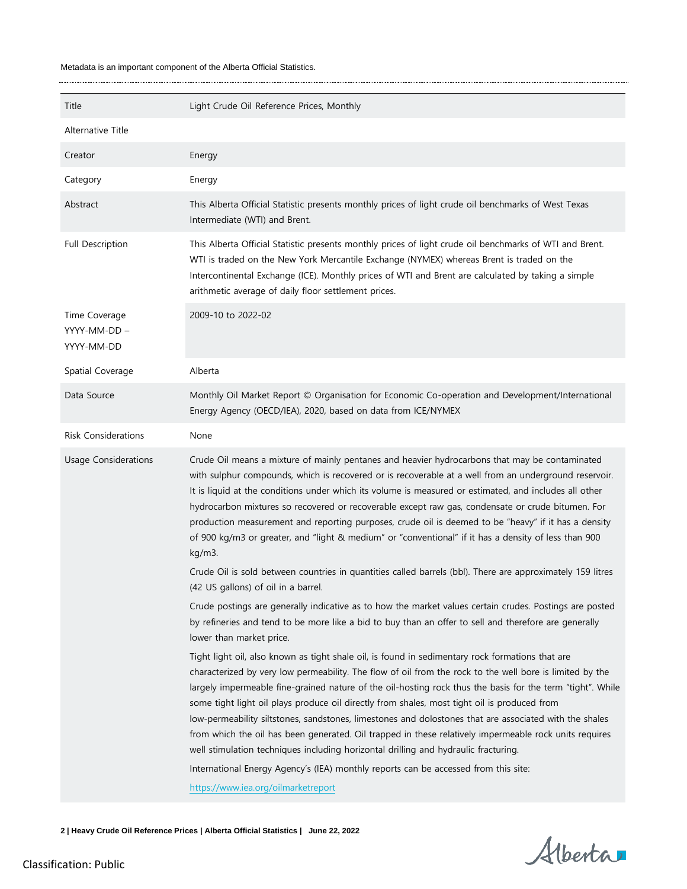## Metadata is an important component of the Alberta Official Statistics.

 $\ddot{\phantom{a}}$ 

| Title                                       | Light Crude Oil Reference Prices, Monthly                                                                                                                                                                                                                                                                                                                                                                                                                                                                                                                                                                                                                                                                                                                                                                                                                           |
|---------------------------------------------|---------------------------------------------------------------------------------------------------------------------------------------------------------------------------------------------------------------------------------------------------------------------------------------------------------------------------------------------------------------------------------------------------------------------------------------------------------------------------------------------------------------------------------------------------------------------------------------------------------------------------------------------------------------------------------------------------------------------------------------------------------------------------------------------------------------------------------------------------------------------|
| Alternative Title                           |                                                                                                                                                                                                                                                                                                                                                                                                                                                                                                                                                                                                                                                                                                                                                                                                                                                                     |
| Creator                                     | Energy                                                                                                                                                                                                                                                                                                                                                                                                                                                                                                                                                                                                                                                                                                                                                                                                                                                              |
| Category                                    | Energy                                                                                                                                                                                                                                                                                                                                                                                                                                                                                                                                                                                                                                                                                                                                                                                                                                                              |
| Abstract                                    | This Alberta Official Statistic presents monthly prices of light crude oil benchmarks of West Texas<br>Intermediate (WTI) and Brent.                                                                                                                                                                                                                                                                                                                                                                                                                                                                                                                                                                                                                                                                                                                                |
| Full Description                            | This Alberta Official Statistic presents monthly prices of light crude oil benchmarks of WTI and Brent.<br>WTI is traded on the New York Mercantile Exchange (NYMEX) whereas Brent is traded on the<br>Intercontinental Exchange (ICE). Monthly prices of WTI and Brent are calculated by taking a simple<br>arithmetic average of daily floor settlement prices.                                                                                                                                                                                                                                                                                                                                                                                                                                                                                                   |
| Time Coverage<br>YYYY-MM-DD -<br>YYYY-MM-DD | 2009-10 to 2022-02                                                                                                                                                                                                                                                                                                                                                                                                                                                                                                                                                                                                                                                                                                                                                                                                                                                  |
| Spatial Coverage                            | Alberta                                                                                                                                                                                                                                                                                                                                                                                                                                                                                                                                                                                                                                                                                                                                                                                                                                                             |
| Data Source                                 | Monthly Oil Market Report © Organisation for Economic Co-operation and Development/International<br>Energy Agency (OECD/IEA), 2020, based on data from ICE/NYMEX                                                                                                                                                                                                                                                                                                                                                                                                                                                                                                                                                                                                                                                                                                    |
| <b>Risk Considerations</b>                  | None                                                                                                                                                                                                                                                                                                                                                                                                                                                                                                                                                                                                                                                                                                                                                                                                                                                                |
| <b>Usage Considerations</b>                 | Crude Oil means a mixture of mainly pentanes and heavier hydrocarbons that may be contaminated<br>with sulphur compounds, which is recovered or is recoverable at a well from an underground reservoir.<br>It is liquid at the conditions under which its volume is measured or estimated, and includes all other<br>hydrocarbon mixtures so recovered or recoverable except raw gas, condensate or crude bitumen. For<br>production measurement and reporting purposes, crude oil is deemed to be "heavy" if it has a density<br>of 900 kg/m3 or greater, and "light & medium" or "conventional" if it has a density of less than 900<br>kg/m3.<br>Crude Oil is sold between countries in quantities called barrels (bbl). There are approximately 159 litres                                                                                                      |
|                                             | (42 US gallons) of oil in a barrel.                                                                                                                                                                                                                                                                                                                                                                                                                                                                                                                                                                                                                                                                                                                                                                                                                                 |
|                                             | Crude postings are generally indicative as to how the market values certain crudes. Postings are posted<br>by refineries and tend to be more like a bid to buy than an offer to sell and therefore are generally<br>lower than market price.                                                                                                                                                                                                                                                                                                                                                                                                                                                                                                                                                                                                                        |
|                                             | Tight light oil, also known as tight shale oil, is found in sedimentary rock formations that are<br>characterized by very low permeability. The flow of oil from the rock to the well bore is limited by the<br>largely impermeable fine-grained nature of the oil-hosting rock thus the basis for the term "tight". While<br>some tight light oil plays produce oil directly from shales, most tight oil is produced from<br>low-permeability siltstones, sandstones, limestones and dolostones that are associated with the shales<br>from which the oil has been generated. Oil trapped in these relatively impermeable rock units requires<br>well stimulation techniques including horizontal drilling and hydraulic fracturing.<br>International Energy Agency's (IEA) monthly reports can be accessed from this site:<br>https://www.iea.org/oilmarketreport |

**2 | Heavy Crude Oil Reference Prices | Alberta Official Statistics | June 22, 2022**

Alberta